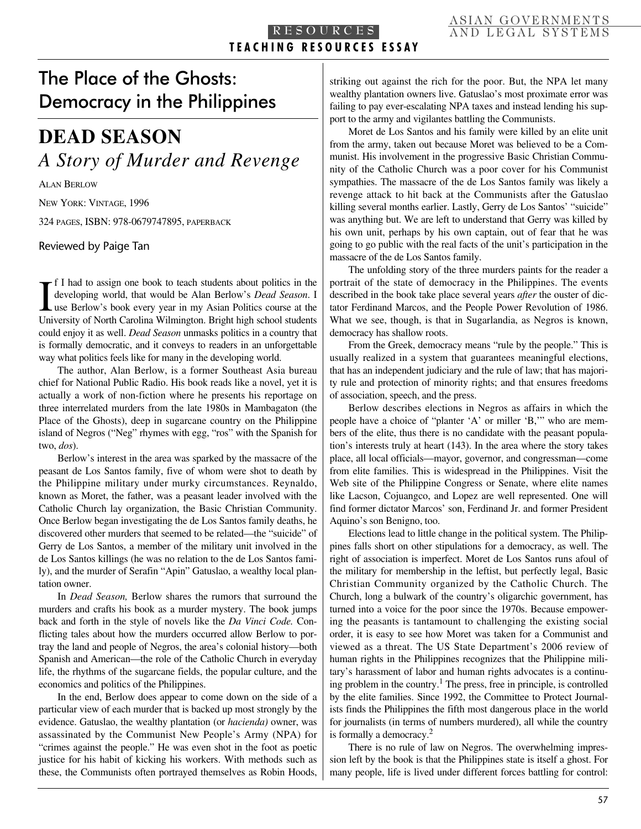## The Place of the Ghosts: Democracy in the Philippines

# **DEAD SEASON** *A Story of Murder and Revenge*

ALAN BERLOW NEW YORK: VINTAGE, 1996

324 PAGES, ISBN: 978-0679747895, PAPERBACK

Reviewed by Paige Tan

If I had to assign one book to teach students about politics in the developing world, that would be Alan Berlow's *Dead Season*. I use Berlow's book every year in my Asian Politics course at the University of North Carolin f I had to assign one book to teach students about politics in the developing world, that would be Alan Berlow's *Dead Season*. I University of North Carolina Wilmington. Bright high school students could enjoy it as well. *Dead Season* unmasks politics in a country that is formally democratic, and it conveys to readers in an unforgettable way what politics feels like for many in the developing world.

The author, Alan Berlow, is a former Southeast Asia bureau chief for National Public Radio. His book reads like a novel, yet it is actually a work of non-fiction where he presents his reportage on three interrelated murders from the late 1980s in Mambagaton (the Place of the Ghosts), deep in sugarcane country on the Philippine island of Negros ("Neg" rhymes with egg, "ros" with the Spanish for two, *dos*).

Berlow's interest in the area was sparked by the massacre of the peasant de Los Santos family, five of whom were shot to death by the Philippine military under murky circumstances. Reynaldo, known as Moret, the father, was a peasant leader involved with the Catholic Church lay organization, the Basic Christian Community. Once Berlow began investigating the de Los Santos family deaths, he discovered other murders that seemed to be related—the "suicide" of Gerry de Los Santos, a member of the military unit involved in the de Los Santos killings (he was no relation to the de Los Santos family), and the murder of Serafin "Apin" Gatuslao, a wealthy local plantation owner.

In *Dead Season,* Berlow shares the rumors that surround the murders and crafts his book as a murder mystery. The book jumps back and forth in the style of novels like the *Da Vinci Code.* Conflicting tales about how the murders occurred allow Berlow to portray the land and people of Negros, the area's colonial history—both Spanish and American—the role of the Catholic Church in everyday life, the rhythms of the sugarcane fields, the popular culture, and the economics and politics of the Philippines.

In the end, Berlow does appear to come down on the side of a particular view of each murder that is backed up most strongly by the evidence. Gatuslao, the wealthy plantation (or *hacienda)* owner, was assassinated by the Communist New People's Army (NPA) for "crimes against the people." He was even shot in the foot as poetic justice for his habit of kicking his workers. With methods such as these, the Communists often portrayed themselves as Robin Hoods, striking out against the rich for the poor. But, the NPA let many wealthy plantation owners live. Gatuslao's most proximate error was failing to pay ever-escalating NPA taxes and instead lending his support to the army and vigilantes battling the Communists.

Moret de Los Santos and his family were killed by an elite unit from the army, taken out because Moret was believed to be a Communist. His involvement in the progressive Basic Christian Community of the Catholic Church was a poor cover for his Communist sympathies. The massacre of the de Los Santos family was likely a revenge attack to hit back at the Communists after the Gatuslao killing several months earlier. Lastly, Gerry de Los Santos' "suicide" was anything but. We are left to understand that Gerry was killed by his own unit, perhaps by his own captain, out of fear that he was going to go public with the real facts of the unit's participation in the massacre of the de Los Santos family.

The unfolding story of the three murders paints for the reader a portrait of the state of democracy in the Philippines. The events described in the book take place several years *after* the ouster of dictator Ferdinand Marcos, and the People Power Revolution of 1986. What we see, though, is that in Sugarlandia, as Negros is known, democracy has shallow roots.

From the Greek, democracy means "rule by the people." This is usually realized in a system that guarantees meaningful elections, that has an independent judiciary and the rule of law; that has majority rule and protection of minority rights; and that ensures freedoms of association, speech, and the press.

Berlow describes elections in Negros as affairs in which the people have a choice of "planter 'A' or miller 'B,'" who are members of the elite, thus there is no candidate with the peasant population's interests truly at heart (143). In the area where the story takes place, all local officials—mayor, governor, and congressman—come from elite families. This is widespread in the Philippines. Visit the Web site of the Philippine Congress or Senate, where elite names like Lacson, Cojuangco, and Lopez are well represented. One will find former dictator Marcos' son, Ferdinand Jr. and former President Aquino's son Benigno, too.

Elections lead to little change in the political system. The Philippines falls short on other stipulations for a democracy, as well. The right of association is imperfect. Moret de Los Santos runs afoul of the military for membership in the leftist, but perfectly legal, Basic Christian Community organized by the Catholic Church. The Church, long a bulwark of the country's oligarchic government, has turned into a voice for the poor since the 1970s. Because empowering the peasants is tantamount to challenging the existing social order, it is easy to see how Moret was taken for a Communist and viewed as a threat. The US State Department's 2006 review of human rights in the Philippines recognizes that the Philippine military's harassment of labor and human rights advocates is a continuing problem in the country. <sup>1</sup> The press, free in principle, is controlled by the elite families. Since 1992, the Committee to Protect Journalists finds the Philippines the fifth most dangerous place in the world for journalists (in terms of numbers murdered), all while the country is formally a democracy. 2

There is no rule of law on Negros. The overwhelming impression left by the book is that the Philippines state is itself a ghost. For many people, life is lived under different forces battling for control: